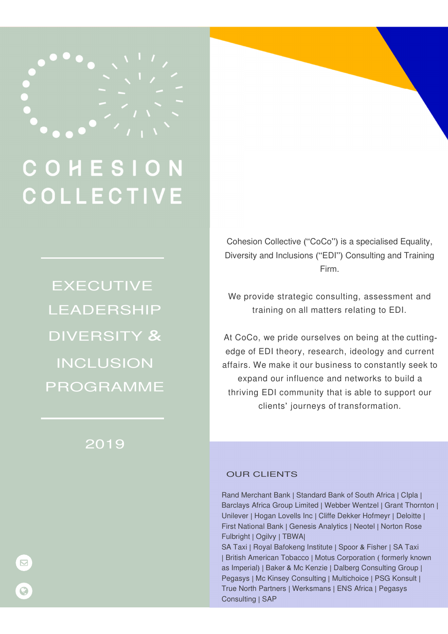

# COHESI **COLLECTIVE**

EXECUTIVE LEADERSHIP DIVERSITY & INCLUSION PROGRAMME

# 2019

Cohesion Collective ("CoCo") is a specialised Equality, Diversity and Inclusions ("EDI") Consulting and Training Firm.

We provide strategic consulting, assessment and training on all matters relating to EDI.

At CoCo, we pride ourselves on being at the cuttingedge of EDI theory, research, ideology and current affairs. We make it our business to constantly seek to expand our influence and networks to build a thriving EDI community that is able to support our clients' journeys of transformation.

#### OUR CLIENTS

Rand Merchant Bank | Standard Bank of South Africa | CIpla | Barclays Africa Group Limited | Webber Wentzel | Grant Thornton | Unilever | Hogan Lovells Inc | Cliffe Dekker Hofmeyr | Deloitte | First National Bank | Genesis Analytics | Neotel | Norton Rose Fulbright | Ogilvy | TBWA|

SA Taxi | Royal Bafokeng Institute | Spoor & Fisher | SA Taxi | British American Tobacco | Motus Corporation ( formerly known as Imperial) | Baker & Mc Kenzie | Dalberg Consulting Group | Pegasys | Mc Kinsey Consulting | Multichoice | PSG Konsult | True North Partners | Werksmans | ENS Africa | Pegasys Consulting | SAP